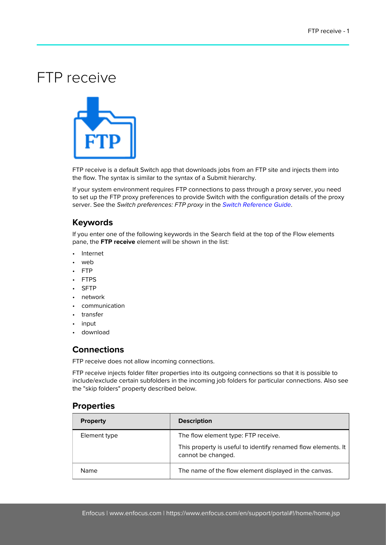## FTP receive



FTP receive is a default Switch app that downloads jobs from an FTP site and injects them into the flow. The syntax is similar to the syntax of a Submit hierarchy.

If your system environment requires FTP connections to pass through a proxy server, you need to set up the FTP proxy preferences to provide Switch with the configuration details of the proxy server. See the Switch preferences: FTP proxy in the [Switch Reference Guide](https://www.enfocus.com/en/support/manuals/switch-manuals).

## **Keywords**

If you enter one of the following keywords in the Search field at the top of the Flow elements pane, the **FTP receive** element will be shown in the list:

- Internet
- web
- FTP
- FTPS
- SFTP
- network
- communication
- transfer
- input
- download

## **Connections**

FTP receive does not allow incoming connections.

FTP receive injects folder filter properties into its outgoing connections so that it is possible to include/exclude certain subfolders in the incoming job folders for particular connections. Also see the "skip folders" property described below.

## **Properties**

| <b>Property</b> | <b>Description</b>                                                                    |
|-----------------|---------------------------------------------------------------------------------------|
| Element type    | The flow element type: FTP receive.                                                   |
|                 | This property is useful to identify renamed flow elements. It  <br>cannot be changed. |
| Name            | The name of the flow element displayed in the canvas.                                 |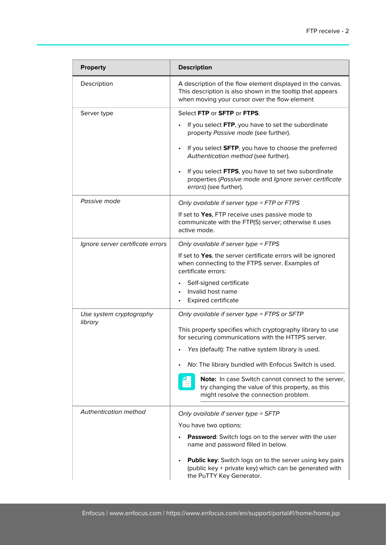| <b>Property</b>                    | <b>Description</b>                                                                                                                                                        |
|------------------------------------|---------------------------------------------------------------------------------------------------------------------------------------------------------------------------|
| Description                        | A description of the flow element displayed in the canvas.<br>This description is also shown in the tooltip that appears<br>when moving your cursor over the flow element |
| Server type                        | Select FTP or SFTP or FTPS.                                                                                                                                               |
|                                    | If you select FTP, you have to set the subordinate<br>property Passive mode (see further).                                                                                |
|                                    | If you select SFTP, you have to choose the preferred<br>Authentication method (see further).                                                                              |
|                                    | If you select FTPS, you have to set two subordinate<br>properties (Passive mode and Ignore server certificate<br>errors) (see further).                                   |
| Passive mode                       | Only available if server type = FTP or FTPS                                                                                                                               |
|                                    | If set to Yes, FTP receive uses passive mode to<br>communicate with the FTP(S) server; otherwise it uses<br>active mode.                                                  |
| Ignore server certificate errors   | Only available if server type = FTPS                                                                                                                                      |
|                                    | If set to Yes, the server certificate errors will be ignored<br>when connecting to the FTPS server. Examples of<br>certificate errors:                                    |
|                                    | Self-signed certificate                                                                                                                                                   |
|                                    | Invalid host name<br><b>Expired certificate</b>                                                                                                                           |
| Use system cryptography<br>library | Only available if server type = FTPS or SFTP                                                                                                                              |
|                                    | This property specifies which cryptography library to use<br>for securing communications with the HTTPS server.                                                           |
|                                    | Yes (default): The native system library is used.                                                                                                                         |
|                                    | No: The library bundled with Enfocus Switch is used.                                                                                                                      |
|                                    | Note: In case Switch cannot connect to the server,<br>try changing the value of this property, as this<br>might resolve the connection problem.                           |
| Authentication method              | Only available if server type = SFTP                                                                                                                                      |
|                                    | You have two options:                                                                                                                                                     |
|                                    | Password: Switch logs on to the server with the user<br>name and password filled in below.                                                                                |
|                                    | <b>Public key:</b> Switch logs on to the server using key pairs<br>(public key + private key) which can be generated with<br>the PuTTY Key Generator.                     |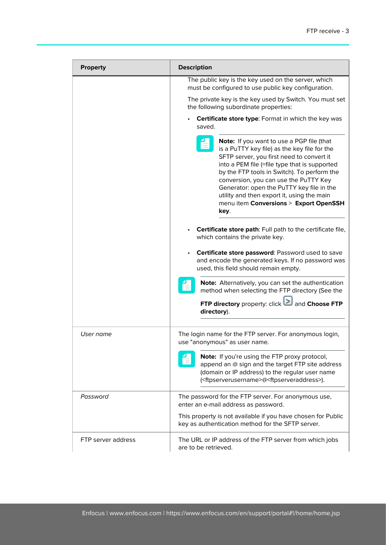| <b>Property</b>    | <b>Description</b>                                                                                                                                                                                                                                                                                                                                                                                                           |
|--------------------|------------------------------------------------------------------------------------------------------------------------------------------------------------------------------------------------------------------------------------------------------------------------------------------------------------------------------------------------------------------------------------------------------------------------------|
|                    | The public key is the key used on the server, which<br>must be configured to use public key configuration.                                                                                                                                                                                                                                                                                                                   |
|                    | The private key is the key used by Switch. You must set<br>the following subordinate properties:                                                                                                                                                                                                                                                                                                                             |
|                    | <b>Certificate store type:</b> Format in which the key was<br>saved.                                                                                                                                                                                                                                                                                                                                                         |
|                    | Note: If you want to use a PGP file (that<br>is a PuTTY key file) as the key file for the<br>SFTP server, you first need to convert it<br>into a PEM file (=file type that is supported<br>by the FTP tools in Switch). To perform the<br>conversion, you can use the PuTTY Key<br>Generator: open the PuTTY key file in the<br>utility and then export it, using the main<br>menu item Conversions > Export OpenSSH<br>key. |
|                    | Certificate store path: Full path to the certificate file,<br>which contains the private key.<br>Certificate store password: Password used to save<br>and encode the generated keys. If no password was<br>used, this field should remain empty.                                                                                                                                                                             |
|                    | Note: Alternatively, you can set the authentication<br>method when selecting the FTP directory (See the<br>FTP directory property: click and Choose FTP<br>directory).                                                                                                                                                                                                                                                       |
|                    |                                                                                                                                                                                                                                                                                                                                                                                                                              |
| User name          | The login name for the FTP server. For anonymous login,<br>use "anonymous" as user name.                                                                                                                                                                                                                                                                                                                                     |
|                    | Note: If you're using the FTP proxy protocol,<br>append an @ sign and the target FTP site address<br>(domain or IP address) to the regular user name<br>( <ftpserverusername>@<ftpserveraddress>).</ftpserveraddress></ftpserverusername>                                                                                                                                                                                    |
| Password           | The password for the FTP server. For anonymous use,<br>enter an e-mail address as password.                                                                                                                                                                                                                                                                                                                                  |
|                    | This property is not available if you have chosen for Public<br>key as authentication method for the SFTP server.                                                                                                                                                                                                                                                                                                            |
| FTP server address | The URL or IP address of the FTP server from which jobs<br>are to be retrieved.                                                                                                                                                                                                                                                                                                                                              |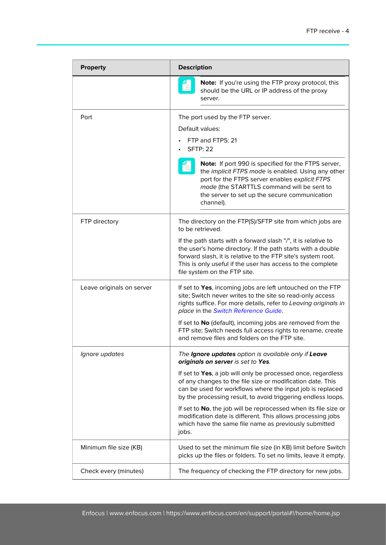| <b>Property</b>           | <b>Description</b>                                                                                                                                                                                                                                                                                                                                                                                                                                                                                                                                        |
|---------------------------|-----------------------------------------------------------------------------------------------------------------------------------------------------------------------------------------------------------------------------------------------------------------------------------------------------------------------------------------------------------------------------------------------------------------------------------------------------------------------------------------------------------------------------------------------------------|
|                           | <b>Note:</b> If you're using the FTP proxy protocol, this<br>should be the URL or IP address of the proxy<br>server.                                                                                                                                                                                                                                                                                                                                                                                                                                      |
| Port                      | The port used by the FTP server.<br>Default values:<br>FTP and FTPS: 21<br><b>SFTP: 22</b><br>Note: If port 990 is specified for the FTPS server,<br>the implicit FTPS mode is enabled. Using any other<br>port for the FTPS server enables explicit FTPS<br>mode (the STARTTLS command will be sent to<br>the server to set up the secure communication<br>channel).                                                                                                                                                                                     |
| FTP directory             | The directory on the FTP(S)/SFTP site from which jobs are<br>to be retrieved.<br>If the path starts with a forward slash "/", it is relative to<br>the user's home directory. If the path starts with a double<br>forward slash, it is relative to the FTP site's system root.<br>This is only useful if the user has access to the complete<br>file system on the FTP site.                                                                                                                                                                              |
| Leave originals on server | If set to Yes, incoming jobs are left untouched on the FTP<br>site; Switch never writes to the site so read-only access<br>rights suffice. For more details, refer to Leaving originals in<br>place in the Switch Reference Guide.<br>If set to No (default), incoming jobs are removed from the<br>FTP site; Switch needs full access rights to rename, create<br>and remove files and folders on the FTP site.                                                                                                                                          |
| Ignore updates            | The Ignore updates option is available only if Leave<br>originals on server is set to Yes.<br>If set to Yes, a job will only be processed once, regardless<br>of any changes to the file size or modification date. This<br>can be used for workflows where the input job is replaced<br>by the processing result, to avoid triggering endless loops.<br>If set to No, the job will be reprocessed when its file size or<br>modification date is different. This allows processing jobs<br>which have the same file name as previously submitted<br>jobs. |
| Minimum file size (KB)    | Used to set the minimum file size (in KB) limit before Switch<br>picks up the files or folders. To set no limits, leave it empty.                                                                                                                                                                                                                                                                                                                                                                                                                         |
| Check every (minutes)     | The frequency of checking the FTP directory for new jobs.                                                                                                                                                                                                                                                                                                                                                                                                                                                                                                 |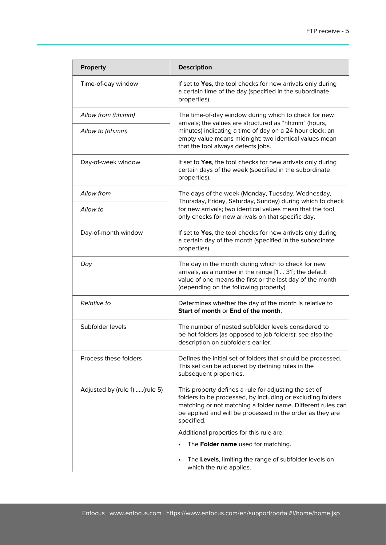| <b>Property</b>               | <b>Description</b>                                                                                                                                                                                                                                                        |
|-------------------------------|---------------------------------------------------------------------------------------------------------------------------------------------------------------------------------------------------------------------------------------------------------------------------|
| Time-of-day window            | If set to Yes, the tool checks for new arrivals only during<br>a certain time of the day (specified in the subordinate<br>properties).                                                                                                                                    |
| Allow from (hh:mm)            | The time-of-day window during which to check for new<br>arrivals; the values are structured as "hh:mm" (hours,<br>minutes) indicating a time of day on a 24 hour clock; an<br>empty value means midnight; two identical values mean<br>that the tool always detects jobs. |
| Allow to (hh:mm)              |                                                                                                                                                                                                                                                                           |
| Day-of-week window            | If set to Yes, the tool checks for new arrivals only during<br>certain days of the week (specified in the subordinate<br>properties).                                                                                                                                     |
| Allow from                    | The days of the week (Monday, Tuesday, Wednesday,<br>Thursday, Friday, Saturday, Sunday) during which to check                                                                                                                                                            |
| Allow to                      | for new arrivals; two identical values mean that the tool<br>only checks for new arrivals on that specific day.                                                                                                                                                           |
| Day-of-month window           | If set to Yes, the tool checks for new arrivals only during<br>a certain day of the month (specified in the subordinate<br>properties).                                                                                                                                   |
| Day                           | The day in the month during which to check for new<br>arrivals, as a number in the range [131]; the default<br>value of one means the first or the last day of the month<br>(depending on the following property).                                                        |
| <b>Relative to</b>            | Determines whether the day of the month is relative to<br>Start of month or End of the month.                                                                                                                                                                             |
| Subfolder levels              | The number of nested subfolder levels considered to<br>be hot folders (as opposed to job folders); see also the<br>description on subfolders earlier.                                                                                                                     |
| Process these folders         | Defines the initial set of folders that should be processed.<br>This set can be adjusted by defining rules in the<br>subsequent properties.                                                                                                                               |
| Adjusted by (rule 1) (rule 5) | This property defines a rule for adjusting the set of<br>folders to be processed, by including or excluding folders<br>matching or not matching a folder name. Different rules can<br>be applied and will be processed in the order as they are<br>specified.             |
|                               | Additional properties for this rule are:                                                                                                                                                                                                                                  |
|                               | The Folder name used for matching.                                                                                                                                                                                                                                        |
|                               | The Levels, limiting the range of subfolder levels on<br>which the rule applies.                                                                                                                                                                                          |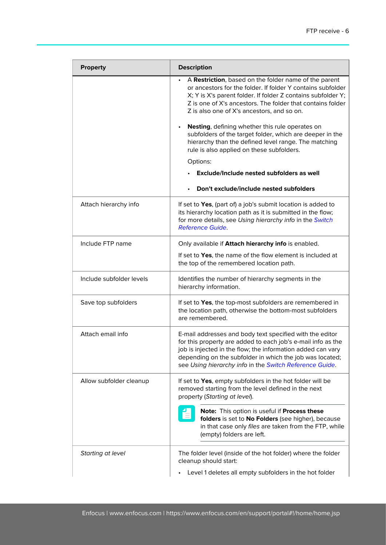| <b>Property</b>          | <b>Description</b>                                                                                                                                                                                                                                                                                             |
|--------------------------|----------------------------------------------------------------------------------------------------------------------------------------------------------------------------------------------------------------------------------------------------------------------------------------------------------------|
|                          | A Restriction, based on the folder name of the parent<br>or ancestors for the folder. If folder Y contains subfolder<br>X; Y is X's parent folder. If folder Z contains subfolder Y;<br>Z is one of X's ancestors. The folder that contains folder<br>Z is also one of X's ancestors, and so on.               |
|                          | Nesting, defining whether this rule operates on<br>subfolders of the target folder, which are deeper in the<br>hierarchy than the defined level range. The matching<br>rule is also applied on these subfolders.                                                                                               |
|                          | Options:                                                                                                                                                                                                                                                                                                       |
|                          | Exclude/Include nested subfolders as well                                                                                                                                                                                                                                                                      |
|                          | Don't exclude/include nested subfolders                                                                                                                                                                                                                                                                        |
| Attach hierarchy info    | If set to Yes, (part of) a job's submit location is added to<br>its hierarchy location path as it is submitted in the flow;<br>for more details, see Using hierarchy info in the Switch<br><b>Reference Guide.</b>                                                                                             |
| Include FTP name         | Only available if Attach hierarchy info is enabled.                                                                                                                                                                                                                                                            |
|                          | If set to Yes, the name of the flow element is included at<br>the top of the remembered location path.                                                                                                                                                                                                         |
| Include subfolder levels | Identifies the number of hierarchy segments in the<br>hierarchy information.                                                                                                                                                                                                                                   |
| Save top subfolders      | If set to Yes, the top-most subfolders are remembered in<br>the location path, otherwise the bottom-most subfolders<br>are remembered.                                                                                                                                                                         |
| Attach email info        | E-mail addresses and body text specified with the editor<br>for this property are added to each job's e-mail info as the<br>job is injected in the flow; the information added can vary<br>depending on the subfolder in which the job was located;<br>see Using hierarchy info in the Switch Reference Guide. |
| Allow subfolder cleanup  | If set to Yes, empty subfolders in the hot folder will be<br>removed starting from the level defined in the next<br>property (Starting at level).                                                                                                                                                              |
|                          | Note: This option is useful if Process these<br>folders is set to No Folders (see higher), because<br>in that case only files are taken from the FTP, while<br>(empty) folders are left.                                                                                                                       |
| Starting at level        | The folder level (inside of the hot folder) where the folder<br>cleanup should start:                                                                                                                                                                                                                          |
|                          | Level 1 deletes all empty subfolders in the hot folder                                                                                                                                                                                                                                                         |